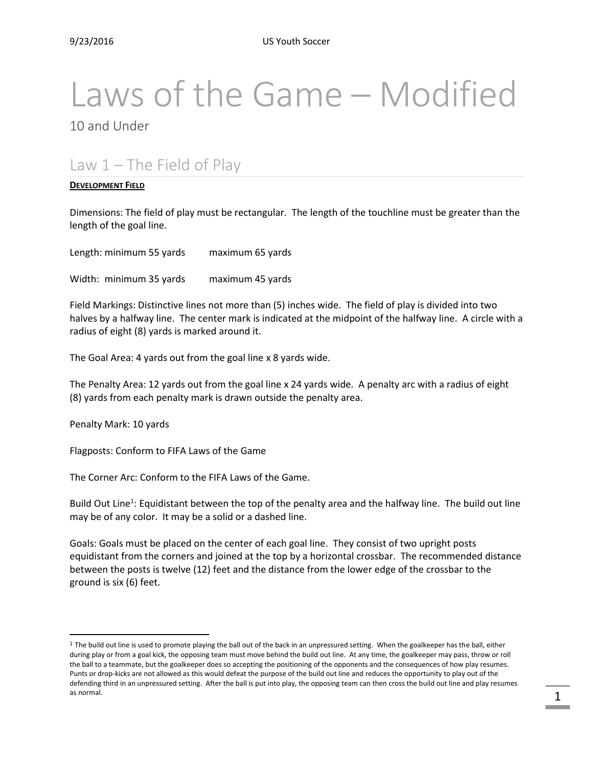# Laws of the Game – Modified

10 and Under

# Law  $1$  – The Field of Play

#### **DEVELOPMENT FIELD**

Dimensions: The field of play must be rectangular. The length of the touchline must be greater than the length of the goal line.

Length: minimum 55 yards maximum 65 yards

Width: minimum 35 yards maximum 45 yards

Field Markings: Distinctive lines not more than (5) inches wide. The field of play is divided into two halves by a halfway line. The center mark is indicated at the midpoint of the halfway line. A circle with a radius of eight (8) yards is marked around it.

The Goal Area: 4 yards out from the goal line x 8 yards wide.

The Penalty Area: 12 yards out from the goal line x 24 yards wide. A penalty arc with a radius of eight (8) yards from each penalty mark is drawn outside the penalty area.

Penalty Mark: 10 yards

 $\overline{a}$ 

Flagposts: Conform to FIFA Laws of the Game

The Corner Arc: Conform to the FIFA Laws of the Game.

Build Out Line<sup>1</sup>: Equidistant between the top of the penalty area and the halfway line. The build out line may be of any color. It may be a solid or a dashed line.

Goals: Goals must be placed on the center of each goal line. They consist of two upright posts equidistant from the corners and joined at the top by a horizontal crossbar. The recommended distance between the posts is twelve (12) feet and the distance from the lower edge of the crossbar to the ground is six (6) feet.

 $1$  The build out line is used to promote playing the ball out of the back in an unpressured setting. When the goalkeeper has the ball, either during play or from a goal kick, the opposing team must move behind the build out line. At any time, the goalkeeper may pass, throw or roll the ball to a teammate, but the goalkeeper does so accepting the positioning of the opponents and the consequences of how play resumes. Punts or drop-kicks are not allowed as this would defeat the purpose of the build out line and reduces the opportunity to play out of the defending third in an unpressured setting. After the ball is put into play, the opposing team can then cross the build out line and play resumes as normal.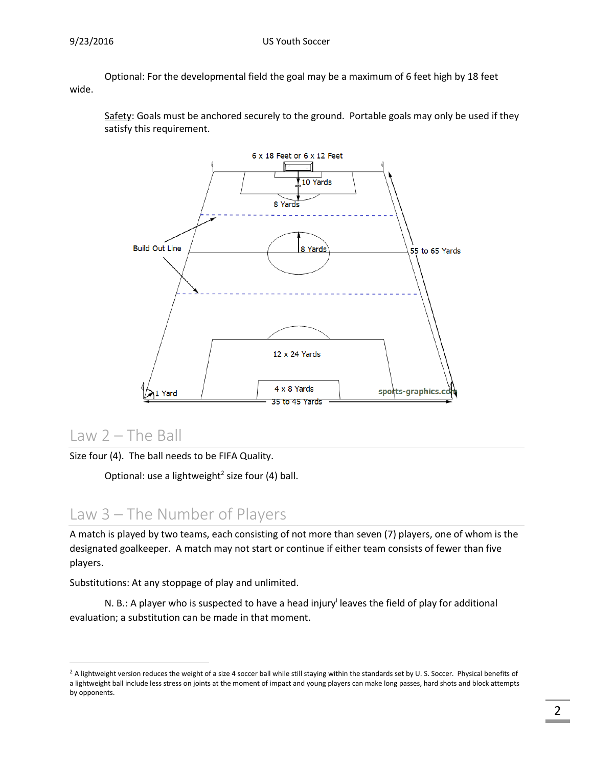Optional: For the developmental field the goal may be a maximum of 6 feet high by 18 feet wide.

Safety: Goals must be anchored securely to the ground. Portable goals may only be used if they satisfy this requirement.



#### Law 2 – The Ball

 $\overline{a}$ 

Size four (4). The ball needs to be FIFA Quality.

Optional: use a lightweight<sup>2</sup> size four (4) ball.

## Law 3 – The Number of Players

A match is played by two teams, each consisting of not more than seven (7) players, one of whom is the designated goalkeeper. A match may not start or continue if either team consists of fewer than five players.

Substitutions: At any stoppage of play and unlimited.

N. B.: A player who is suspected to have a head injury<sup>i</sup> leaves the field of play for additional evaluation; a substitution can be made in that moment.

<sup>&</sup>lt;sup>2</sup> A lightweight version reduces the weight of a size 4 soccer ball while still staying within the standards set by U. S. Soccer. Physical benefits of a lightweight ball include less stress on joints at the moment of impact and young players can make long passes, hard shots and block attempts by opponents.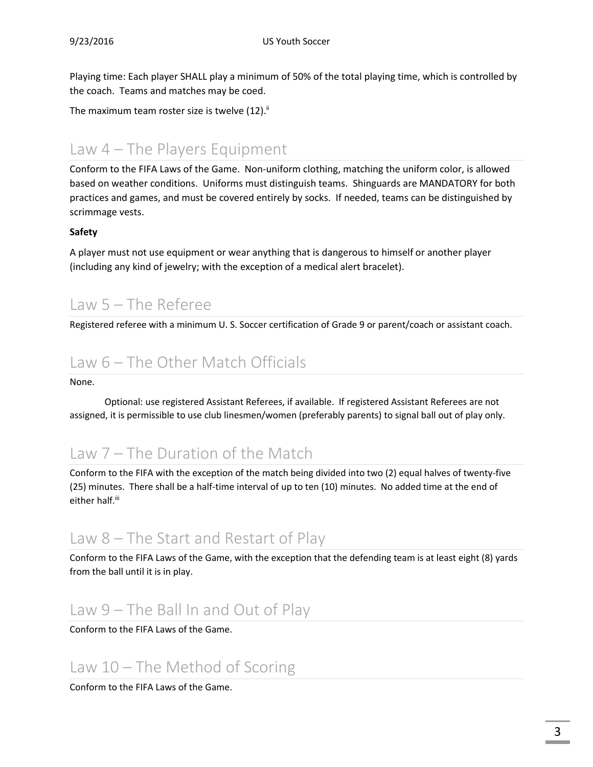Playing time: Each player SHALL play a minimum of 50% of the total playing time, which is controlled by the coach. Teams and matches may be coed.

The maximum team roster size is twelve  $(12)^{11}$ 

#### Law 4 – The Players Equipment

Conform to the FIFA Laws of the Game. Non-uniform clothing, matching the uniform color, is allowed based on weather conditions. Uniforms must distinguish teams. Shinguards are MANDATORY for both practices and games, and must be covered entirely by socks. If needed, teams can be distinguished by scrimmage vests.

#### **Safety**

A player must not use equipment or wear anything that is dangerous to himself or another player (including any kind of jewelry; with the exception of a medical alert bracelet).

# Law 5 – The Referee

Registered referee with a minimum U. S. Soccer certification of Grade 9 or parent/coach or assistant coach.

## Law 6 – The Other Match Officials

None.

Optional: use registered Assistant Referees, if available. If registered Assistant Referees are not assigned, it is permissible to use club linesmen/women (preferably parents) to signal ball out of play only.

## Law 7 – The Duration of the Match

Conform to the FIFA with the exception of the match being divided into two (2) equal halves of twenty-five (25) minutes. There shall be a half-time interval of up to ten (10) minutes. No added time at the end of either half.<sup>iii</sup>

## Law 8 – The Start and Restart of Play

Conform to the FIFA Laws of the Game, with the exception that the defending team is at least eight (8) yards from the ball until it is in play.

# Law 9 – The Ball In and Out of Play

Conform to the FIFA Laws of the Game.

# Law 10 – The Method of Scoring

Conform to the FIFA Laws of the Game.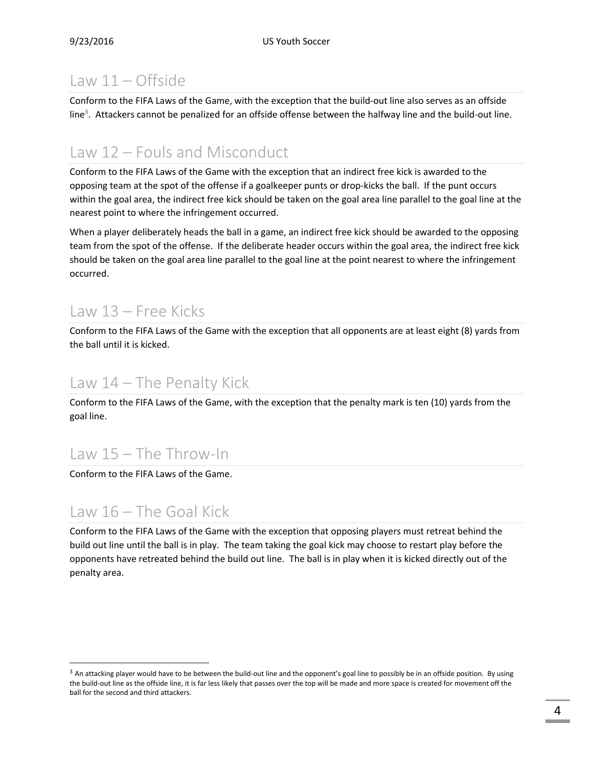# Law 11 – Offside

Conform to the FIFA Laws of the Game, with the exception that the build-out line also serves as an offside line<sup>3</sup>. Attackers cannot be penalized for an offside offense between the halfway line and the build-out line.

# Law 12 – Fouls and Misconduct

Conform to the FIFA Laws of the Game with the exception that an indirect free kick is awarded to the opposing team at the spot of the offense if a goalkeeper punts or drop-kicks the ball. If the punt occurs within the goal area, the indirect free kick should be taken on the goal area line parallel to the goal line at the nearest point to where the infringement occurred.

When a player deliberately heads the ball in a game, an indirect free kick should be awarded to the opposing team from the spot of the offense. If the deliberate header occurs within the goal area, the indirect free kick should be taken on the goal area line parallel to the goal line at the point nearest to where the infringement occurred.

#### Law 13 – Free Kicks

Conform to the FIFA Laws of the Game with the exception that all opponents are at least eight (8) yards from the ball until it is kicked.

#### Law 14 – The Penalty Kick

Conform to the FIFA Laws of the Game, with the exception that the penalty mark is ten (10) yards from the goal line.

# Law 15 – The Throw-In

Conform to the FIFA Laws of the Game.

# Law 16 – The Goal Kick

 $\overline{a}$ 

Conform to the FIFA Laws of the Game with the exception that opposing players must retreat behind the build out line until the ball is in play. The team taking the goal kick may choose to restart play before the opponents have retreated behind the build out line. The ball is in play when it is kicked directly out of the penalty area.

<sup>&</sup>lt;sup>3</sup> An attacking player would have to be between the build-out line and the opponent's goal line to possibly be in an offside position. By using the build-out line as the offside line, it is far less likely that passes over the top will be made and more space is created for movement off the ball for the second and third attackers.